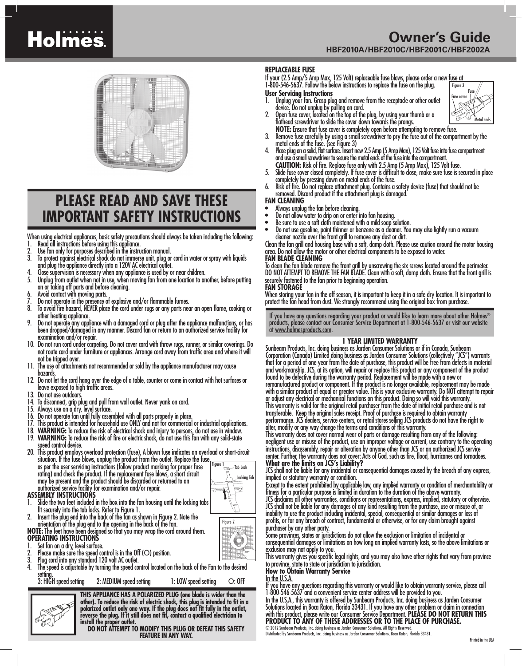# **Holmes**

## **PLEASE READ AND SAVE THESE IMPORTANT SAFETY INSTRUCTIONS**

When using electrical appliances, basic safety precautions should always be taken including the following:

- 
- 1. Read all instructions before using this appliance.<br>2. Use fan only for purposes described in the instruction manual.<br>3. To protect against electrical shock do not immerse unit, plug or cord in water or spray wi
- 
- and plug the appliance directly into a 120V AC electrical outlet.<br>4. Close supervision is necessary when any appliance is used by or near children.<br>5. Unplug from outlet when not in use, when moving fan from one loca on or faking off parts and before cleaning.<br>6. Avoid contact with moving parts.<br>7. Do not operate in the presence of explosive and/or flammable fumes.<br>8. To avoid fire hazard, NEVER place the cord under rugs or an
- 
- 
- 
- other heating appliance. 9. Do not operate any appliance with a damaged cord or plug after the appliance malfunctions, or has been dropped/damaged in any manner. Discard fan or return to an authorized service facility for
- 10. Do not run cord under carpeting. Do not cover cord with throw rugs, runner, or similar coverings. Do not route cord under furniture or appliances. Arrange cord away from traffic area and where it will<br>not be tripped over.
- 11. The use of attachments not recommended or sold by the appliance manufacturer may cause hazards.
- 12. Do not let the cord hang over the edge of a table, counter or come in contact with hot surfaces or leave exposed to high traffic areas.<br>Do not use outdoors.
- 
- 
- 
- 
- 14. To disconnect, grip plug and pull from wall outlet. Never yank on cord.<br>
15. Always use on a dry, level surface.<br>
16. Do not operate fan until fully assembled with all parts properly in place.<br>
16. Do not operate fan u
- 
- 
- 
- situation. If the fuse blows, unplug the product from the outlet. Replace the fuse as per the user servicing instructions (follow product marking for proper fuse -Tab Lock rating) and check the product. If the replacement fuse blows, a short circuit Locking Tab may be present and the product should be discarded or returned to an  $\overline{\mathcal{C}}$

## authorized service facility for examination and/or repair. **ASSEMBLY INSTRUCTIONS**

- 1. Slide the two feet included in the box into the fan housing until the locking tabs<br>it securely into the tab locks. Refer to Figure 1.
- fit securely into the tab locks. Refer to Figure 1. 2. Insert the plug end into the back of the fan as shown in Figure 2. Note the

# orientation of the plug end to the opening in the back of the fan. **NOTE:** The feet have been designed so that you may wrap the cord around them. **OPERATING INSTRUCTIONS**

- 
- 
- 
- 1. Set fan on a dry, level surface.<br>
2. Please make sure the speed control is in the Off (O) position.<br>
3. Plug cord into any standard 120 volt AC outlet.<br>
4. The speed is adjustable by turning the speed control located o setting.<br>3: HIGH speed setting

2: MEDIUM speed setting 1: LOW speed setting O: OFF

**THIS APPLIANCE HAS A POLARIZED PLUG (one blade is wider than the other). To reduce the risk of electric shock, this plug is intended to fit in a polarized outlet only one way. If the plug does not fit fully in the outlet, reverse the plug. If it still does not fit, contact a qualified electrician to install the proper outlet. DO NOT ATTEMPT TO MODIFY THIS PLUG OR DEFEAT THIS SAFETY** 

**FEATURE IN ANY WAY.**

## **Owner's Guide HBF2010A/HBF2010C/HBF2001C/HBF2002A**

## **REPLACEABLE FUSE**

If your (2.5 Amp/5 Amp Max, 125 Volt) replaceable fuse blows, please order a new fuse at 1-800-546-5637. Follow the below instructions to replace the fuse on the plug. Figure 3

**User Servicing Instructions**<br>1. Unplug your fan. Grasp plu 1. Unplug your fan. Grasp plug and remove from the receptacle or other outlet

device. Do not unplug by pulling on cord. 2. Open fuse cover, located on the top of the plug, by using your thumb or a



- flathead screwdriver to slide the cover down towards the prongs.
- **NOTE:** Ensure that fuse cover is completely open before attempting to remove fuse.<br>3. Remove fuse carefully by using a small screwdriver to pry the fuse out of the compartment by the metal ends of the fuse. (see Figure 3)
- metal ends of the fuse. (see Figure 3) 4. Place plug on a solid, flat surface. Insert new 2.5 Amp (5 Amp Max), 125 Volt fuse into fuse compartment and use a small screwdriver to secure the metal ends of the fuse into the compartment.
- **CAUTION:** Risk of fire. Replace fuse only with 2.5 Amp (5 Amp Max), 125 Volt fuse.<br>5. Slide fuse cover closed completely. If fuse cover is difficult to close, make sure fuse is secured in place<br>completely by pressing down
- completely by pressing down on metal ends of the fuse. 6. Risk of fire. Do not replace attachment plug. Contains a safety device (fuse) that should not be removed. Discard product if the attachment plug is damaged. **FAN CLEANING**

- 
- 
- Always unplug the fan before cleaning.<br>• Do not allow water to drip on or enter into fan housing.<br>• Be sure to use a soft cloth moistened with a mild soap solution.
- Do not use gasoline, paint thinner or benzene as a cleaner. You may also lightly run a vacuum cleaner nozzle over the front grill to remove any dust or dirt. Clean the fan grill and housing base with a soft, damp cloth. Please use caution around the motor housing

area. Do not allow the motor or other electrical components to be exposed to water.

## **FAN BLADE CLEANING**

To clean the fan blade remove the front grill by unscrewing the six screws located around the perimeter. DO NOT ATTEMPT TO REMOVE THE FAN BLADE. Clean with a soft, damp cloth. Ensure that the front grill is securely fastened to the fan prior to beginning operation.

### **FAN STORAGE**

When storing your fan in the off season, it is important to keep it in a safe dry location. It is important to protect the fan head from dust. We strongly recommend using the original box from purchase.

If you have any questions regarding your product or would like to learn more about other Holmes® products, please contact our Consumer Service Department at 1-800-546-5637 or visit our website at www.holmesproducts.com.

### **1 YEAR LIMITED WARRANTY**

Sunbeam Products, Inc. doing business as Jarden Consumer Solutions or if in Canada, Sunbeam Corporation (Canada) Limited doing business as Jarden Consumer Solutions (collectively "JCS") warrants that for a period of one year from the date of purchase, this product will be free from defects in material and workmanship. JCS, at its option, will repair or replace this product or any component of the product found to be defective during the warranty period. Replacement will be made with a new or remanufactured product or component. If the product is no longer available, replacement may be made with a similar product of equal or greater value. This is your exclusive warranty. Do NOT attempt to repair or adjust any electrical or mechanical functions on this product. Doing so will void this warranty. This warranty is valid for the original retail purchaser from the date of initial retail purchase and is not transferable. Keep the original sales receipt. Proof of purchase is required to obtain warranty performance. JCS dealers, service centers, or retail stores selling JCS products do not have the right to alter, modify or any way change the terms and conditions of this warranty.

This warranty does not cover normal wear of parts or damage resulting from any of the following: negligent use or misuse of the product, use on improper voltage or current, use contrary to the operating instructions, disassembly, repair or alteration by anyone other than JCS or an authorized JCS service center. Further, the warranty does not cover: Acts of God, such as fire, flood, hurricanes and tornadoes. **What are the limits on JCS's Liability?** 

JCS shall not be liable for any incidental or consequential damages caused by the breach of any express, implied or statutory warranty or condition.

Except to the extent prohibited by applicable law, any implied warranty or condition of merchantability or fitness for a particular purpose is limited in duration to the duration of the above warranty.

JCS disclaims all other warranties, conditions or representations, express, implied, statutory or otherwise. JCS shall not be liable for any damages of any kind resulting from the purchase, use or misuse of, or inability to use the product including incidental, special, consequential or similar damages or loss of profits, or for any breach of contract, fundamental or otherwise, or for any claim brought against purchaser by any other party.

Some provinces, states or jurisdictions do not allow the exclusion or limitation of incidental or consequential damages or limitations on how long an implied warranty lasts, so the above limitations or exclusion may not apply to you.

This warranty gives you specific legal rights, and you may also have other rights that vary from province to province, state to state or jurisdiction to jurisdiction.

**How to Obtain Warranty Service**

In the U.S.A.

If you have any questions regarding this warranty or would like to obtain warranty service, please call 1-800-546-5637 and a convenient service center address will be provided to you.

In the U.S.A., this warranty is offered by Sunbeam Products, Inc. doing business as Jarden Consumer Solutions located in Boca Raton, Florida 33431. If you have any other problem or claim in connection with this product, please write our Consumer Service Department. **PLEASE DO NOT RETURN THIS PRODUCT TO ANY OF THESE ADDRESSES OR TO THE PLACE OF PURCHASE.** 

© 2012 Sunbeam Products, Inc. doing business as Jarden Consumer Solutions. All Rights Reserved. Distributed by Sunbeam Products, Inc. doing business as Jarden Consumer Solutions, Boca Raton, Florida 33431.